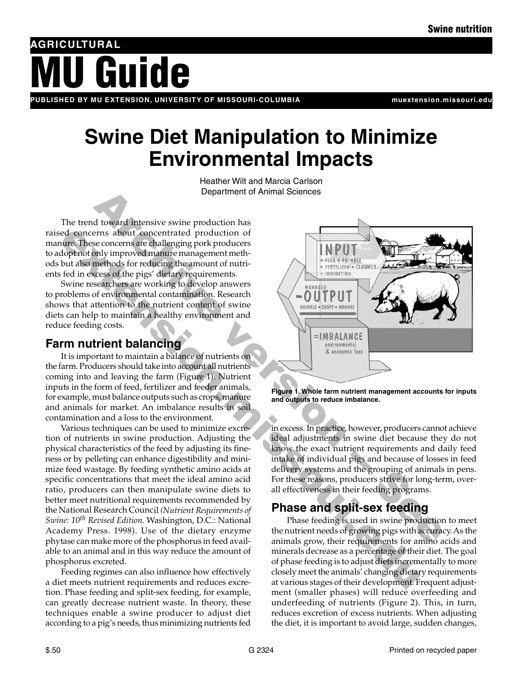# Guide **AG R I C U LT U R A L**

PUBLISHED BY MU EXTENSION, UNIVERSITY OF MISSOURI-COLUMBIA **which are a serve to a mull muller** muller and the n

# **Swine Diet Manipulation to Minimize Environmental Impacts**

Heather Wilt and Marcia Carlson Department of Animal Sciences

The trend toward intensive swine production has raised concerns about concentrated production of manure. These concerns are challenging pork producers to adopt not only improved manure management methods but also methods for reducing the amount of nutrients fed in excess of the pigs' dietary requirements.

Swine researchers are working to develop answers to problems of environmental contamination. Research shows that attention to the nutrient content of swine diets can help to maintain a healthy environment and reduce feeding costs.

### **Farm nutrient balancing**

It is important to maintain a balance of nutrients on the farm. Producers should take into account all nutrients coming into and leaving the farm (Figure 1). Nutrient inputs in the form of feed, fertilizer and feeder animals, for example, must balance outputs such as crops, manure and animals for market. An imbalance results in soil contamination and a loss to the environment.

Various techniques can be used to minimize excretion of nutrients in swine production. Adjusting the physical characteristics of the feed by adjusting its fineness or by pelleting can enhance digestibility and minimize feed wastage. By feeding synthetic amino acids at specific concentrations that meet the ideal amino acid ratio, producers can then manipulate swine diets to better meet nutritional requirements recommended by the National Research Council *(Nutrient Requirements of Swine: 10th Revised Edition*. Washington, D.C.: National Academy Press. 1998). Use of the dietary enzyme phytase can make more of the phosphorus in feed available to an animal and in this way reduce the amount of phosphorus excreted. extend to contract a modulation of the modulation of the season absolution of the concern since the pigs detacy equivements.<br>
For the most proposed and the pigs detacy requirements of the pigs detacy requirements.<br>
In this

Feeding regimes can also influence how effectively a diet meets nutrient requirements and reduces excretion. Phase feeding and split-sex feeding, for example, can greatly decrease nutrient waste. In theory, these techniques enable a swine producer to adjust diet according to a pig's needs, thus minimizing nutrients fed



**Figure 1. Whole farm nutrient management accounts for inputs and outputs to reduce imbalance.**

in excess. In practice, however, producers cannot achieve ideal adjustments in swine diet because they do not know the exact nutrient requirements and daily feed intake of individual pigs and because of losses in feed delivery systems and the grouping of animals in pens. For these reasons, producers strive for long-term, overall effectiveness in their feeding programs.

## **Phase and split-sex feeding**

Phase feeding is used in swine production to meet the nutrient needs of growing pigs with accuracy. As the animals grow, their requirements for amino acids and minerals decrease as a percentage of their diet. The goal of phase feeding is to adjust diets incrementally to more closely meet the animals' changing dietary requirements at various stages of their development. Frequent adjustment (smaller phases) will reduce overfeeding and underfeeding of nutrients (Figure 2). This, in turn, reduces excretion of excess nutrients. When adjusting the diet, it is important to avoid large, sudden changes,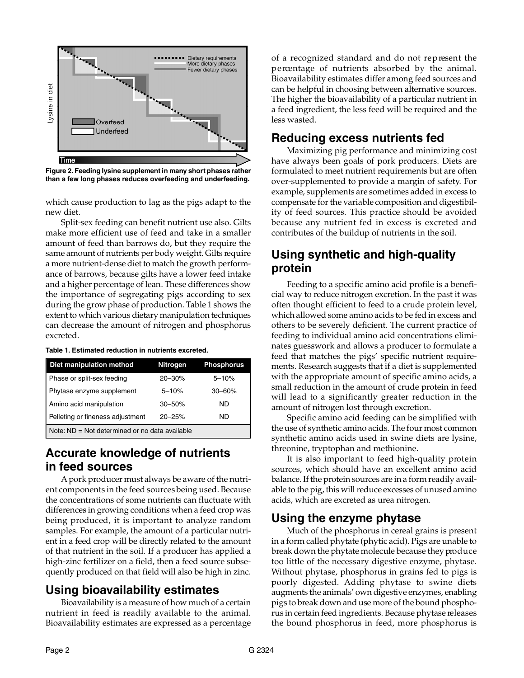

**Figure 2. Feeding lysine supplement in many short phases rather than a few long phases reduces overfeeding and underfeeding.**

which cause production to lag as the pigs adapt to the new diet.

Split-sex feeding can benefit nutrient use also. Gilts make more efficient use of feed and take in a smaller amount of feed than barrows do, but they require the same amount of nutrients per body weight. Gilts require a more nutrient-dense diet to match the growth performance of barrows, because gilts have a lower feed intake and a higher percentage of lean. These differences show the importance of segregating pigs according to sex during the grow phase of production. Table 1 shows the extent to which various dietary manipulation techniques can decrease the amount of nitrogen and phosphorus excreted.

#### **Table 1. Estimated reduction in nutrients excreted.**

| Diet manipulation method                       | <b>Nitrogen</b> | <b>Phosphorus</b> |
|------------------------------------------------|-----------------|-------------------|
| Phase or split-sex feeding                     | $20 - 30%$      | $5 - 10%$         |
| Phytase enzyme supplement                      | $5 - 10%$       | $30 - 60%$        |
| Amino acid manipulation                        | $30 - 50%$      | ND.               |
| Pelleting or fineness adjustment               | $20 - 25%$      | ND.               |
| Note: ND = Not determined or no data available |                 |                   |

#### **Accurate knowledge of nutrients in feed sources**

Apork producer must always be aware of the nutrient components in the feed sources being used. Because the concentrations of some nutrients can fluctuate with differences in growing conditions when a feed crop was being produced, it is important to analyze random samples. For example, the amount of a particular nutrient in a feed crop will be directly related to the amount of that nutrient in the soil. If a producer has applied a high-zinc fertilizer on a field, then a feed source subsequently produced on that field will also be high in zinc.

#### **Using bioavailability estimates**

Bioavailability is a measure of how much of a certain nutrient in feed is readily available to the animal. Bioavailability estimates are expressed as a percentage of a recognized standard and do not re p resent the percentage of nutrients absorbed by the animal. Bioavailability estimates differ among feed sources and can be helpful in choosing between alternative sources. The higher the bioavailability of a particular nutrient in a feed ingredient, the less feed will be required and the less wasted.

#### **Reducing excess nutrients fed**

Maximizing pig performance and minimizing cost have always been goals of pork producers. Diets are formulated to meet nutrient requirements but are often over-supplemented to provide a margin of safety. For example, supplements are sometimes added in excess to compensate for the variable composition and digestibility of feed sources. This practice should be avoided because any nutrient fed in excess is excreted and contributes of the buildup of nutrients in the soil.

#### **Using synthetic and high-quality protein**

Feeding to a specific amino acid profile is a beneficial way to reduce nitrogen excretion. In the past it was often thought efficient to feed to a crude protein level, which allowed some amino acids to be fed in excess and others to be severely deficient. The current practice of feeding to individual amino acid concentrations eliminates guesswork and allows a producer to formulate a feed that matches the pigs' specific nutrient requirements. Research suggests that if a diet is supplemented with the appropriate amount of specific amino acids, a small reduction in the amount of crude protein in feed will lead to a significantly greater reduction in the amount of nitrogen lost through excretion.

Specific amino acid feeding can be simplified with the use of synthetic amino acids. The four most common synthetic amino acids used in swine diets are lysine, threonine, tryptophan and methionine.

It is also important to feed high-quality protein sources, which should have an excellent amino acid balance. If the protein sources are in a form readily available to the pig, this will reduce excesses of unused amino acids, which are excreted as urea nitrogen.

#### **Using the enzyme phytase**

Much of the phosphorus in cereal grains is present in a form called phytate (phytic acid). Pigs are unable to break down the phytate molecule because they produce too little of the necessary digestive enzyme, phytase. Without phytase, phosphorus in grains fed to pigs is poorly digested. Adding phytase to swine diets augments the animals' own digestive enzymes, enabling pigs to break down and use more of the bound phosphorus in certain feed ingredients. Because phytase releases the bound phosphorus in feed, more phosphorus is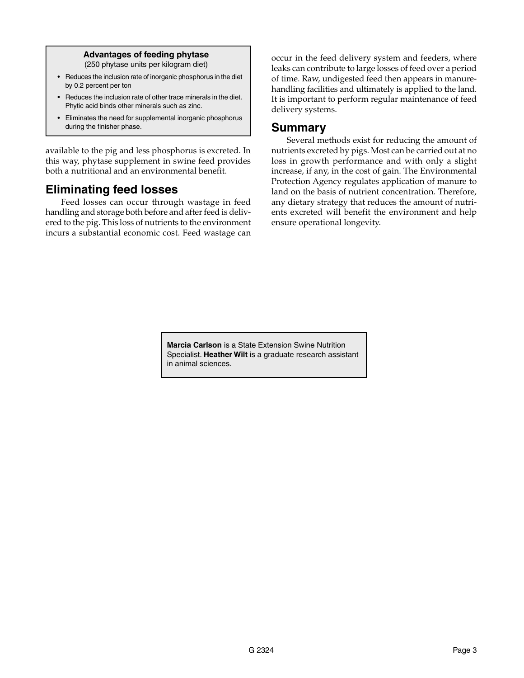#### **Advantages of feeding phytase**  (250 phytase units per kilogram diet)

- Reduces the inclusion rate of inorganic phosphorus in the diet by 0.2 percent per ton
- Reduces the inclusion rate of other trace minerals in the diet. Phytic acid binds other minerals such as zinc.
- Eliminates the need for supplemental inorganic phosphorus during the finisher phase.

available to the pig and less phosphorus is excreted. In this way, phytase supplement in swine feed provides both a nutritional and an environmental benefit.

#### **Eliminating feed losses**

Feed losses can occur through wastage in feed handling and storage both before and after feed is delivered to the pig. This loss of nutrients to the environment incurs a substantial economic cost. Feed wastage can

occur in the feed delivery system and feeders, where leaks can contribute to large losses of feed over a period of time. Raw, undigested feed then appears in manurehandling facilities and ultimately is applied to the land. It is important to perform regular maintenance of feed delivery systems.

#### **Summary**

Several methods exist for reducing the amount of nutrients excreted by pigs. Most can be carried out at no loss in growth performance and with only a slight increase, if any, in the cost of gain. The Environmental Protection Agency regulates application of manure to land on the basis of nutrient concentration. Therefore, any dietary strategy that reduces the amount of nutrients excreted will benefit the environment and help ensure operational longevity.

**Marcia Carlson** is a State Extension Swine Nutrition Specialist. **Heather Wilt** is a graduate research assistant in animal sciences.